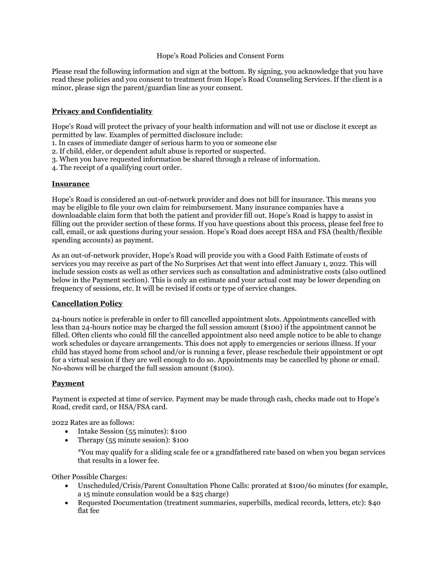## Hope's Road Policies and Consent Form

Please read the following information and sign at the bottom. By signing, you acknowledge that you have read these policies and you consent to treatment from Hope's Road Counseling Services. If the client is a minor, please sign the parent/guardian line as your consent.

## **Privacy and Confidentiality**

Hope's Road will protect the privacy of your health information and will not use or disclose it except as permitted by law. Examples of permitted disclosure include:

1. In cases of immediate danger of serious harm to you or someone else

2. If child, elder, or dependent adult abuse is reported or suspected.

3. When you have requested information be shared through a release of information.

4. The receipt of a qualifying court order.

#### **Insurance**

Hope's Road is considered an out-of-network provider and does not bill for insurance. This means you may be eligible to file your own claim for reimbursement. Many insurance companies have a downloadable claim form that both the patient and provider fill out. Hope's Road is happy to assist in filling out the provider section of these forms. If you have questions about this process, please feel free to call, email, or ask questions during your session. Hope's Road does accept HSA and FSA (health/flexible spending accounts) as payment.

As an out-of-network provider, Hope's Road will provide you with a Good Faith Estimate of costs of services you may receive as part of the No Surprises Act that went into effect January 1, 2022. This will include session costs as well as other services such as consultation and administrative costs (also outlined below in the Payment section). This is only an estimate and your actual cost may be lower depending on frequency of sessions, etc. It will be revised if costs or type of service changes.

#### **Cancellation Policy**

24-hours notice is preferable in order to fill cancelled appointment slots. Appointments cancelled with less than 24-hours notice may be charged the full session amount (\$100) if the appointment cannot be filled. Often clients who could fill the cancelled appointment also need ample notice to be able to change work schedules or daycare arrangements. This does not apply to emergencies or serious illness. If your child has stayed home from school and/or is running a fever, please reschedule their appointment or opt for a virtual session if they are well enough to do so. Appointments may be cancelled by phone or email. No-shows will be charged the full session amount (\$100).

# **Payment**

Payment is expected at time of service. Payment may be made through cash, checks made out to Hope's Road, credit card, or HSA/FSA card.

2022 Rates are as follows:

- Intake Session (55 minutes): \$100
- Therapy (55 minute session): \$100

\*You may qualify for a sliding scale fee or a grandfathered rate based on when you began services that results in a lower fee.

Other Possible Charges:

- Unscheduled/Crisis/Parent Consultation Phone Calls: prorated at \$100/6o minutes (for example, a 15 minute consulation would be a \$25 charge)
- Requested Documentation (treatment summaries, superbills, medical records, letters, etc): \$40 flat fee